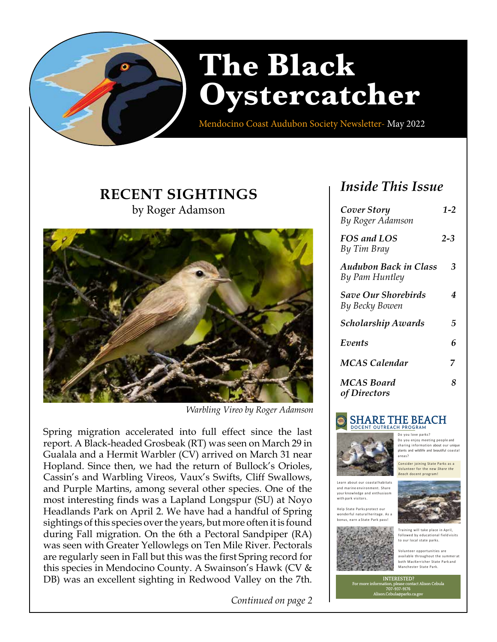

Mendocino Coast Audubon Society Newsletter- May 2022

# **RECENT SIGHTINGS** by Roger Adamson



 *Warbling Vireo by Roger Adamson*

Spring migration accelerated into full effect since the last report. A Black-headed Grosbeak (RT) was seen on March 29 in Gualala and a Hermit Warbler (CV) arrived on March 31 near Hopland. Since then, we had the return of Bullock's Orioles, Cassin's and Warbling Vireos, Vaux's Swifts, Cliff Swallows, and Purple Martins, among several other species. One of the most interesting finds was a Lapland Longspur (SU) at Noyo Headlands Park on April 2. We have had a handful of Spring sightings of this species over the years, but more often it is found during Fall migration. On the 6th a Pectoral Sandpiper (RA) was seen with Greater Yellowlegs on Ten Mile River. Pectorals are regularly seen in Fall but this was the first Spring record for this species in Mendocino County. A Swainson's Hawk (CV & DB) was an excellent sighting in Redwood Valley on the 7th.

*Continued on page 2*

# *Inside This Issue*

| Cover Story<br>By Roger Adamson              | $1 - 2$ |
|----------------------------------------------|---------|
| FOS and LOS<br>By Tim Bray                   | $2 - 3$ |
| Audubon Back in Class<br>By Pam Huntley      | 3       |
| <b>Save Our Shorebirds</b><br>By Becky Bowen | 4       |
| Scholarship Awards                           | 5       |
| Events                                       | 6       |
| MCAS Calendar                                | 7       |
| <b>MCAS Board</b><br>of Directors            | 8       |

# **SHARE THE BEACH DOCENT OUTREACH PROGRAM**



Do you love parks? Do you enjoy meeting people and sharing information about our unique plants and wildlife and beautiful coastal

Consider joining State Parks as a Volunteer for the new *Share the Beach* docent program!

Learn about our coastal habitats and marine environment. Share your knowledge and enthusiasm .<br>with park visitors.



areas?

Help State Parks protect our wonderful natural heritage. As a bonus, earn a State Park pass!



Volunteer opportunities are available throughout the summer at both MacKerricher State Park and Manchester State Park.

**INTERESTED? For more information, please contact Alison Cebula 707-937-9176 Alison.Cebula@parks.ca.gov**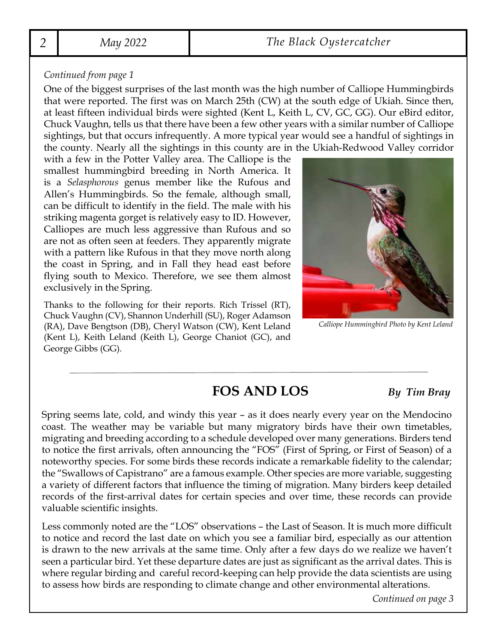#### *Continued from page 1*

One of the biggest surprises of the last month was the high number of Calliope Hummingbirds that were reported. The first was on March 25th (CW) at the south edge of Ukiah. Since then, at least fifteen individual birds were sighted (Kent L, Keith L, CV, GC, GG). Our eBird editor, Chuck Vaughn, tells us that there have been a few other years with a similar number of Calliope sightings, but that occurs infrequently. A more typical year would see a handful of sightings in the county. Nearly all the sightings in this county are in the Ukiah-Redwood Valley corridor

with a few in the Potter Valley area. The Calliope is the smallest hummingbird breeding in North America. It is a *Selasphorous* genus member like the Rufous and Allen's Hummingbirds. So the female, although small, can be difficult to identify in the field. The male with his striking magenta gorget is relatively easy to ID. However, Calliopes are much less aggressive than Rufous and so are not as often seen at feeders. They apparently migrate with a pattern like Rufous in that they move north along the coast in Spring, and in Fall they head east before flying south to Mexico. Therefore, we see them almost exclusively in the Spring.

Thanks to the following for their reports. Rich Trissel (RT), Chuck Vaughn (CV), Shannon Underhill (SU), Roger Adamson (RA), Dave Bengtson (DB), Cheryl Watson (CW), Kent Leland (Kent L), Keith Leland (Keith L), George Chaniot (GC), and George Gibbs (GG).



*Calliope Hummingbird Photo by Kent Leland*

# **FOS AND LOS** *By Tim Bray*

Spring seems late, cold, and windy this year – as it does nearly every year on the Mendocino coast. The weather may be variable but many migratory birds have their own timetables, migrating and breeding according to a schedule developed over many generations. Birders tend to notice the first arrivals, often announcing the "FOS" (First of Spring, or First of Season) of a noteworthy species. For some birds these records indicate a remarkable fidelity to the calendar; the "Swallows of Capistrano" are a famous example. Other species are more variable, suggesting a variety of different factors that influence the timing of migration. Many birders keep detailed records of the first-arrival dates for certain species and over time, these records can provide valuable scientific insights.

Less commonly noted are the "LOS" observations – the Last of Season. It is much more difficult to notice and record the last date on which you see a familiar bird, especially as our attention is drawn to the new arrivals at the same time. Only after a few days do we realize we haven't seen a particular bird. Yet these departure dates are just as significant as the arrival dates. This is where regular birding and careful record-keeping can help provide the data scientists are using to assess how birds are responding to climate change and other environmental alterations.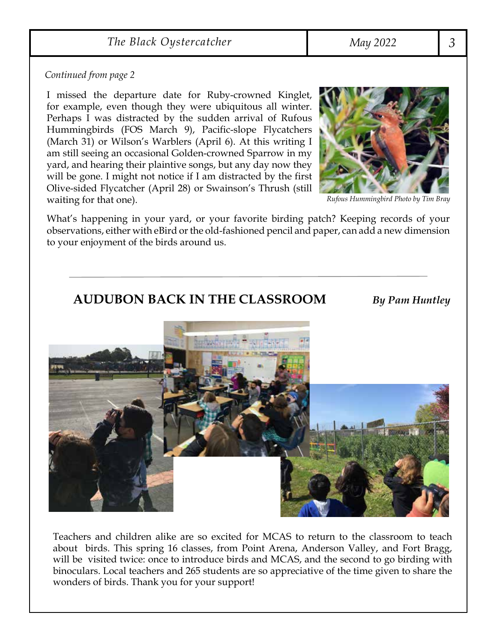### *The Black Oystercatcher May 2022 3*

#### *Continued from page 2*

I missed the departure date for Ruby-crowned Kinglet, for example, even though they were ubiquitous all winter. Perhaps I was distracted by the sudden arrival of Rufous Hummingbirds (FOS March 9), Pacific-slope Flycatchers (March 31) or Wilson's Warblers (April 6). At this writing I am still seeing an occasional Golden-crowned Sparrow in my yard, and hearing their plaintive songs, but any day now they will be gone. I might not notice if I am distracted by the first Olive-sided Flycatcher (April 28) or Swainson's Thrush (still waiting for that one).



*Rufous Hummingbird Photo by Tim Bray*

What's happening in your yard, or your favorite birding patch? Keeping records of your observations, either with eBird or the old-fashioned pencil and paper, can add a new dimension to your enjoyment of the birds around us.

### **AUDUBON BACK IN THE CLASSROOM** *By Pam Huntley*



Teachers and children alike are so excited for MCAS to return to the classroom to teach about birds. This spring 16 classes, from Point Arena, Anderson Valley, and Fort Bragg, will be visited twice: once to introduce birds and MCAS, and the second to go birding with binoculars. Local teachers and 265 students are so appreciative of the time given to share the wonders of birds. Thank you for your support!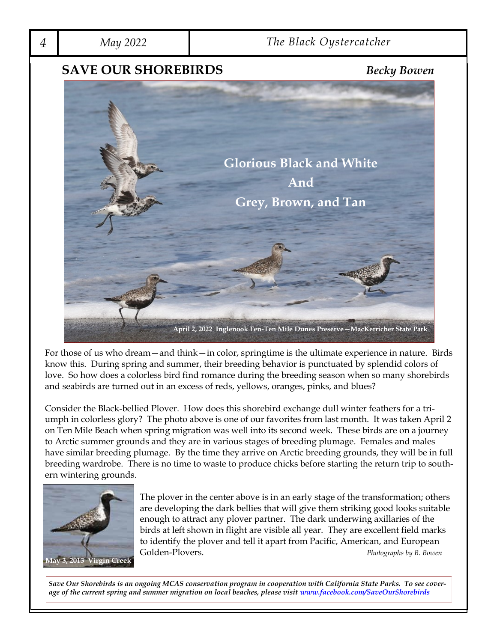

For those of us who dream—and think—in color, springtime is the ultimate experience in nature. Birds know this. During spring and summer, their breeding behavior is punctuated by splendid colors of love. So how does a colorless bird find romance during the breeding season when so many shorebirds and seabirds are turned out in an excess of reds, yellows, oranges, pinks, and blues?

Consider the Black-bellied Plover. How does this shorebird exchange dull winter feathers for a triumph in colorless glory? The photo above is one of our favorites from last month. It was taken April 2 on Ten Mile Beach when spring migration was well into its second week. These birds are on a journey to Arctic summer grounds and they are in various stages of breeding plumage. Females and males have similar breeding plumage. By the time they arrive on Arctic breeding grounds, they will be in full breeding wardrobe. There is no time to waste to produce chicks before starting the return trip to southern wintering grounds.



The plover in the center above is in an early stage of the transformation; others are developing the dark bellies that will give them striking good looks suitable enough to attract any plover partner. The dark underwing axillaries of the birds at left shown in flight are visible all year. They are excellent field marks to identify the plover and tell it apart from Pacific, American, and European Golden-Plovers. *Photographs by B. Bowen*

*Save Our Shorebirds is an ongoing MCAS conservation program in cooperation with California State Parks. To see coverage of the current spring and summer migration on local beaches, please visit www.facebook.com/SaveOurShorebirds*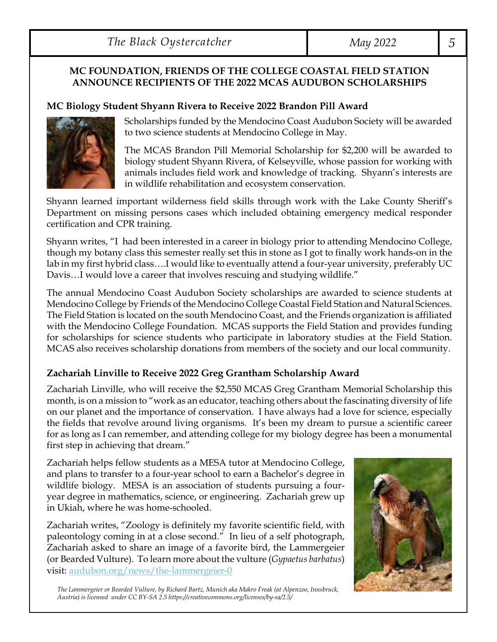*The Black Oystercatcher May 2022 5*

### **MC FOUNDATION, FRIENDS OF THE COLLEGE COASTAL FIELD STATION ANNOUNCE RECIPIENTS OF THE 2022 MCAS AUDUBON SCHOLARSHIPS**

### **MC Biology Student Shyann Rivera to Receive 2022 Brandon Pill Award**



Scholarships funded by the Mendocino Coast Audubon Society will be awarded to two science students at Mendocino College in May.

The MCAS Brandon Pill Memorial Scholarship for \$2,200 will be awarded to biology student Shyann Rivera, of Kelseyville, whose passion for working with animals includes field work and knowledge of tracking. Shyann's interests are in wildlife rehabilitation and ecosystem conservation.

Shyann learned important wilderness field skills through work with the Lake County Sheriff's Department on missing persons cases which included obtaining emergency medical responder certification and CPR training.

Shyann writes, "I had been interested in a career in biology prior to attending Mendocino College, though my botany class this semester really set this in stone as I got to finally work hands-on in the lab in my first hybrid class….I would like to eventually attend a four-year university, preferably UC Davis…I would love a career that involves rescuing and studying wildlife."

The annual Mendocino Coast Audubon Society scholarships are awarded to science students at Mendocino College by Friends of the Mendocino College Coastal Field Station and Natural Sciences. The Field Station is located on the south Mendocino Coast, and the Friends organization is affiliated with the Mendocino College Foundation. MCAS supports the Field Station and provides funding for scholarships for science students who participate in laboratory studies at the Field Station. MCAS also receives scholarship donations from members of the society and our local community.

### **Zachariah Linville to Receive 2022 Greg Grantham Scholarship Award**

Zachariah Linville, who will receive the \$2,550 MCAS Greg Grantham Memorial Scholarship this month, is on a mission to "work as an educator, teaching others about the fascinating diversity of life on our planet and the importance of conservation. I have always had a love for science, especially the fields that revolve around living organisms. It's been my dream to pursue a scientific career for as long as I can remember, and attending college for my biology degree has been a monumental first step in achieving that dream."

Zachariah helps fellow students as a MESA tutor at Mendocino College, and plans to transfer to a four-year school to earn a Bachelor's degree in wildlife biology. MESA is an association of students pursuing a fouryear degree in mathematics, science, or engineering. Zachariah grew up in Ukiah, where he was home-schooled.

Zachariah writes, "Zoology is definitely my favorite scientific field, with paleontology coming in at a close second." In lieu of a self photograph, Zachariah asked to share an image of a favorite bird, the Lammergeier (or Bearded Vulture). To learn more about the vulture (*Gypaetus barbatus*) visit: audubon.org/news/the-lammergeier-0

*The Lammergeier or Bearded Vulture, by Richard Bartz, Munich aka Makro Freak (at Alpenzoo, Innsbruck, Austria) is licensed under CC BY-SA 2.5 https://creativecommons.org/licenses/by-sa/2.5/*

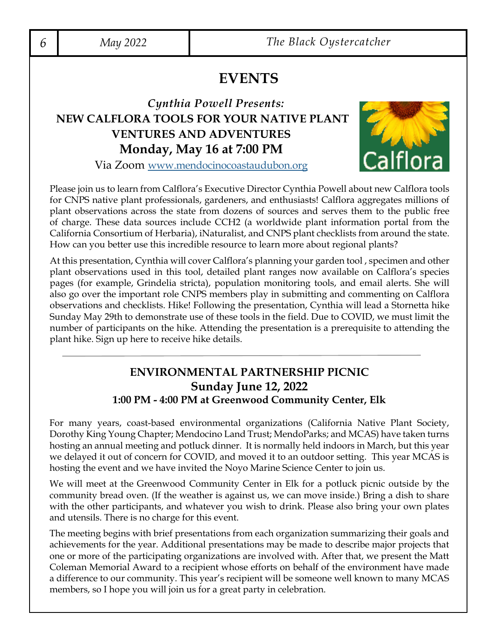# **EVENTS**

# *Cynthia Powell Presents:*  **NEW CALFLORA TOOLS FOR YOUR NATIVE PLANT VENTURES AND ADVENTURES Monday, May 16 at 7:00 PM**



Via Zoom www.mendocinocoastaudubon.org

Please join us to learn from Calflora's Executive Director Cynthia Powell about new Calflora tools for CNPS native plant professionals, gardeners, and enthusiasts! Calflora aggregates millions of plant observations across the state from dozens of sources and serves them to the public free of charge. These data sources include CCH2 (a worldwide plant information portal from the California Consortium of Herbaria), iNaturalist, and CNPS plant checklists from around the state. How can you better use this incredible resource to learn more about regional plants?

At this presentation, Cynthia will cover Calflora's planning your garden tool , specimen and other plant observations used in this tool, detailed plant ranges now available on Calflora's species pages (for example, Grindelia stricta), population monitoring tools, and email alerts. She will also go over the important role CNPS members play in submitting and commenting on Calflora observations and checklists. Hike! Following the presentation, Cynthia will lead a Stornetta hike Sunday May 29th to demonstrate use of these tools in the field. Due to COVID, we must limit the number of participants on the hike. Attending the presentation is a prerequisite to attending the plant hike. Sign up here to receive hike details.

### **ENVIRONMENTAL PARTNERSHIP PICNIC Sunday June 12, 2022 1:00 PM - 4:00 PM at Greenwood Community Center, Elk**

For many years, coast-based environmental organizations (California Native Plant Society, Dorothy King Young Chapter; Mendocino Land Trust; MendoParks; and MCAS) have taken turns hosting an annual meeting and potluck dinner. It is normally held indoors in March, but this year we delayed it out of concern for COVID, and moved it to an outdoor setting. This year MCAS is hosting the event and we have invited the Noyo Marine Science Center to join us.

We will meet at the Greenwood Community Center in Elk for a potluck picnic outside by the community bread oven. (If the weather is against us, we can move inside.) Bring a dish to share with the other participants, and whatever you wish to drink. Please also bring your own plates and utensils. There is no charge for this event.

The meeting begins with brief presentations from each organization summarizing their goals and achievements for the year. Additional presentations may be made to describe major projects that one or more of the participating organizations are involved with. After that, we present the Matt Coleman Memorial Award to a recipient whose efforts on behalf of the environment have made a difference to our community. This year's recipient will be someone well known to many MCAS members, so I hope you will join us for a great party in celebration.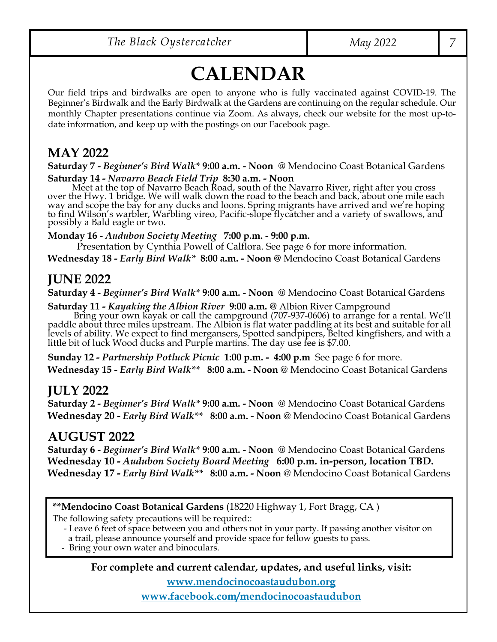# **CALENDAR**

Our field trips and birdwalks are open to anyone who is fully vaccinated against COVID-19. The Beginner's Birdwalk and the Early Birdwalk at the Gardens are continuing on the regular schedule. Our monthly Chapter presentations continue via Zoom. As always, check our website for the most up-todate information, and keep up with the postings on our Facebook page.

# **MAY 2022**

**Saturday 7 -** *Beginner's Bird Walk\** **9:00 a.m. - Noon** @ Mendocino Coast Botanical Gardens

Saturday 14 - Navarro Beach Field Trip 8:30 a.m. - Noon<br>Meet at the top of Navarro Beach Road, south of the Navarro River, right after you cross way and scope the bay for any ducks and loons. Spring migrants have arrived and we're hoping to find Wilson's warbler, Warbling vireo, Pacific-slope flycatcher and a variety of swallows, and possibly a Bald eagle or two.

**Monday 16 -** *Audubon Society Meeting* **7:00 p.m. - 9:00 p.m.**

Presentation by Cynthia Powell of Calflora. See page 6 for more information. **Wednesday 18 -** *Early Bird Walk\** **8:00 a.m. - Noon @** Mendocino Coast Botanical Gardens

# **JUNE 2022**

**Saturday 4 -** *Beginner's Bird Walk\** **9:00 a.m. - Noon** @ Mendocino Coast Botanical Gardens

**Saturday 11 - Kayaking the Albion River 9:00 a.m.** @ Albion River Campground<br>Bring your own kayak or call the campground (707-937-0606) to arrange for a rental. We'll<br>paddle about three miles upstream. The Albion is flat levels of ability. We expect to find mergansers, Spotted sandpipers, Belted kingfishers, and with a little bit of luck Wood ducks and Purple martins. The day use fee is \$7.00.

**Sunday 12 -** *Partnership Potluck Picnic* **1:00 p.m. - 4:00 p.m** See page 6 for more. **Wednesday 15 -** *Early Bird Walk\*\** **8:00 a.m. - Noon** @ Mendocino Coast Botanical Gardens

# **JULY 2022**

**Saturday 2 -** *Beginner's Bird Walk\** **9:00 a.m. - Noon** @ Mendocino Coast Botanical Gardens **Wednesday 20 -** *Early Bird Walk\*\** **8:00 a.m. - Noon** @ Mendocino Coast Botanical Gardens

# **AUGUST 2022**

**Saturday 6 -** *Beginner's Bird Walk\** **9:00 a.m. - Noon** @ Mendocino Coast Botanical Gardens **Wednesday 10 -** *Audubon Society Board Meeting* **6:00 p.m. in-person, location TBD. Wednesday 17 -** *Early Bird Walk\*\** **8:00 a.m. - Noon** @ Mendocino Coast Botanical Gardens

**\*\*Mendocino Coast Botanical Gardens** (18220 Highway 1, Fort Bragg, CA )

The following safety precautions will be required::

 - Leave 6 feet of space between you and others not in your party. If passing another visitor on a trail, please announce yourself and provide space for fellow guests to pass. - Bring your own water and binoculars.

**For complete and current calendar, updates, and useful links, visit:** 

**www.mendocinocoastaudubon.org**

**www.facebook.com/mendocinocoastaudubon**